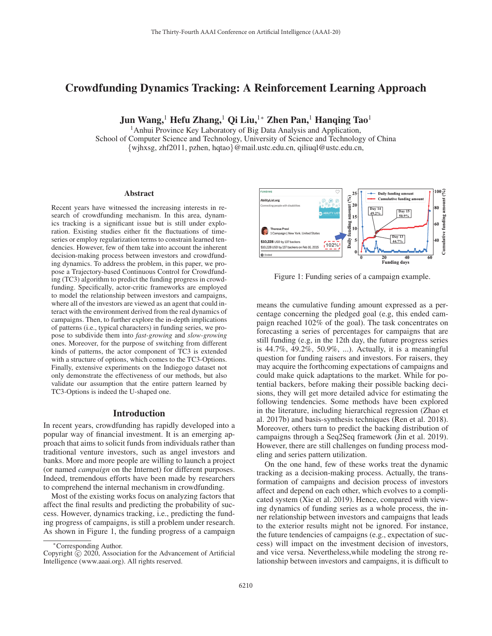# Crowdfunding Dynamics Tracking: A Reinforcement Learning Approach

Jun Wang,<sup>1</sup> Hefu Zhang,<sup>1</sup> Qi Liu,<sup>1</sup>\* Zhen Pan,<sup>1</sup> Hanqing Tao<sup>1</sup>

<sup>1</sup> Anhui Province Key Laboratory of Big Data Analysis and Application, School of Computer Science and Technology, University of Science and Technology of China {wjhxsg, zhf2011, pzhen, hqtao}@mail.ustc.edu.cn, qiliuql@ustc.edu.cn,

#### Abstract

Recent years have witnessed the increasing interests in research of crowdfunding mechanism. In this area, dynamics tracking is a significant issue but is still under exploration. Existing studies either fit the fluctuations of timeseries or employ regularization terms to constrain learned tendencies. However, few of them take into account the inherent decision-making process between investors and crowdfunding dynamics. To address the problem, in this paper, we propose a Trajectory-based Continuous Control for Crowdfunding (TC3) algorithm to predict the funding progress in crowdfunding. Specifically, actor-critic frameworks are employed to model the relationship between investors and campaigns, where all of the investors are viewed as an agent that could interact with the environment derived from the real dynamics of campaigns. Then, to further explore the in-depth implications of patterns (i.e., typical characters) in funding series, we propose to subdivide them into *fast-growing* and *slow-growing* ones. Moreover, for the purpose of switching from different kinds of patterns, the actor component of TC3 is extended with a structure of options, which comes to the TC3-Options. Finally, extensive experiments on the Indiegogo dataset not only demonstrate the effectiveness of our methods, but also validate our assumption that the entire pattern learned by TC3-Options is indeed the U-shaped one.

# Introduction

In recent years, crowdfunding has rapidly developed into a popular way of financial investment. It is an emerging approach that aims to solicit funds from individuals rather than traditional venture investors, such as angel investors and banks. More and more people are willing to launch a project (or named *campaign* on the Internet) for different purposes. Indeed, tremendous efforts have been made by researchers to comprehend the internal mechanism in crowdfunding.

Most of the existing works focus on analyzing factors that affect the final results and predicting the probability of success. However, dynamics tracking, i.e., predicting the funding progress of campaigns, is still a problem under research. As shown in Figure 1, the funding progress of a campaign



Figure 1: Funding series of a campaign example.

means the cumulative funding amount expressed as a percentage concerning the pledged goal (e.g, this ended campaign reached 102% of the goal). The task concentrates on forecasting a series of percentages for campaigns that are still funding (e.g, in the 12th day, the future progress series is 44.7%, 49.2%, 50.9%, ...). Actually, it is a meaningful question for funding raisers and investors. For raisers, they may acquire the forthcoming expectations of campaigns and could make quick adaptations to the market. While for potential backers, before making their possible backing decisions, they will get more detailed advice for estimating the following tendencies. Some methods have been explored in the literature, including hierarchical regression (Zhao et al. 2017b) and basis-synthesis techniques (Ren et al. 2018). Moreover, others turn to predict the backing distribution of campaigns through a Seq2Seq framework (Jin et al. 2019). However, there are still challenges on funding process modeling and series pattern utilization.

On the one hand, few of these works treat the dynamic tracking as a decision-making process. Actually, the transformation of campaigns and decision process of investors affect and depend on each other, which evolves to a complicated system (Xie et al. 2019). Hence, compared with viewing dynamics of funding series as a whole process, the inner relationship between investors and campaigns that leads to the exterior results might not be ignored. For instance, the future tendencies of campaigns (e.g., expectation of success) will impact on the investment decision of investors, and vice versa. Nevertheless,while modeling the strong relationship between investors and campaigns, it is difficult to

<sup>∗</sup>Corresponding Author.

Copyright  $\odot$  2020, Association for the Advancement of Artificial Intelligence (www.aaai.org). All rights reserved.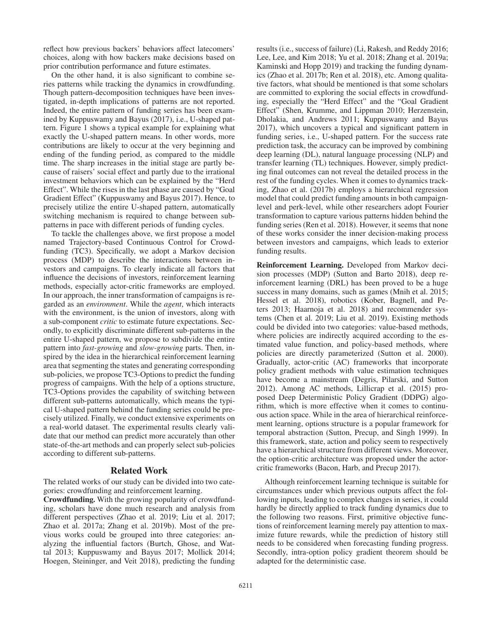reflect how previous backers' behaviors affect latecomers' choices, along with how backers make decisions based on prior contribution performance and future estimates.

On the other hand, it is also significant to combine series patterns while tracking the dynamics in crowdfunding. Though pattern-decomposition techniques have been investigated, in-depth implications of patterns are not reported. Indeed, the entire pattern of funding series has been examined by Kuppuswamy and Bayus (2017), i.e., U-shaped pattern. Figure 1 shows a typical example for explaining what exactly the U-shaped pattern means. In other words, more contributions are likely to occur at the very beginning and ending of the funding period, as compared to the middle time. The sharp increases in the initial stage are partly because of raisers' social effect and partly due to the irrational investment behaviors which can be explained by the "Herd Effect". While the rises in the last phase are caused by "Goal Gradient Effect" (Kuppuswamy and Bayus 2017). Hence, to precisely utilize the entire U-shaped pattern, automatically switching mechanism is required to change between subpatterns in pace with different periods of funding cycles.

To tackle the challenges above, we first propose a model named Trajectory-based Continuous Control for Crowdfunding (TC3). Specifically, we adopt a Markov decision process (MDP) to describe the interactions between investors and campaigns. To clearly indicate all factors that influence the decisions of investors, reinforcement learning methods, especially actor-critic frameworks are employed. In our approach, the inner transformation of campaigns is regarded as an *environment*. While the *agent*, which interacts with the environment, is the union of investors, along with a sub-component *critic* to estimate future expectations. Secondly, to explicitly discriminate different sub-patterns in the entire U-shaped pattern, we propose to subdivide the entire pattern into *fast-growing* and *slow-growing* parts. Then, inspired by the idea in the hierarchical reinforcement learning area that segmenting the states and generating corresponding sub-policies, we propose TC3-Options to predict the funding progress of campaigns. With the help of a options structure, TC3-Options provides the capability of switching between different sub-patterns automatically, which means the typical U-shaped pattern behind the funding series could be precisely utilized. Finally, we conduct extensive experiments on a real-world dataset. The experimental results clearly validate that our method can predict more accurately than other state-of-the-art methods and can properly select sub-policies according to different sub-patterns.

### Related Work

The related works of our study can be divided into two categories: crowdfunding and reinforcement learning.

Crowdfunding. With the growing popularity of crowdfunding, scholars have done much research and analysis from different perspectives (Zhao et al. 2019; Liu et al. 2017; Zhao et al. 2017a; Zhang et al. 2019b). Most of the previous works could be grouped into three categories: analyzing the influential factors (Burtch, Ghose, and Wattal 2013; Kuppuswamy and Bayus 2017; Mollick 2014; Hoegen, Steininger, and Veit 2018), predicting the funding results (i.e., success of failure) (Li, Rakesh, and Reddy 2016; Lee, Lee, and Kim 2018; Yu et al. 2018; Zhang et al. 2019a; Kaminski and Hopp 2019) and tracking the funding dynamics (Zhao et al. 2017b; Ren et al. 2018), etc. Among qualitative factors, what should be mentioned is that some scholars are committed to exploring the social effects in crowdfunding, especially the "Herd Effect" and the "Goal Gradient Effect" (Shen, Krumme, and Lippman 2010; Herzenstein, Dholakia, and Andrews 2011; Kuppuswamy and Bayus 2017), which uncovers a typical and significant pattern in funding series, i.e., U-shaped pattern. For the success rate prediction task, the accuracy can be improved by combining deep learning (DL), natural language processing (NLP) and transfer learning (TL) techniques. However, simply predicting final outcomes can not reveal the detailed process in the rest of the funding cycles. When it comes to dynamics tracking, Zhao et al. (2017b) employs a hierarchical regression model that could predict funding amounts in both campaignlevel and perk-level, while other researchers adopt Fourier transformation to capture various patterns hidden behind the funding series (Ren et al. 2018). However, it seems that none of these works consider the inner decision-making process between investors and campaigns, which leads to exterior funding results.

Reinforcement Learning. Developed from Markov decision processes (MDP) (Sutton and Barto 2018), deep reinforcement learning (DRL) has been proved to be a huge success in many domains, such as games (Mnih et al. 2015; Hessel et al. 2018), robotics (Kober, Bagnell, and Peters 2013; Haarnoja et al. 2018) and recommender systems (Chen et al. 2019; Liu et al. 2019). Existing methods could be divided into two categories: value-based methods, where policies are indirectly acquired according to the estimated value function, and policy-based methods, where policies are directly parameterized (Sutton et al. 2000). Gradually, actor-critic (AC) frameworks that incorporate policy gradient methods with value estimation techniques have become a mainstream (Degris, Pilarski, and Sutton 2012). Among AC methods, Lillicrap et al. (2015) proposed Deep Deterministic Policy Gradient (DDPG) algorithm, which is more effective when it comes to continuous action space. While in the area of hierarchical reinforcement learning, options structure is a popular framework for temporal abstraction (Sutton, Precup, and Singh 1999). In this framework, state, action and policy seem to respectively have a hierarchical structure from different views. Moreover, the option-critic architecture was proposed under the actorcritic frameworks (Bacon, Harb, and Precup 2017).

Although reinforcement learning technique is suitable for circumstances under which previous outputs affect the following inputs, leading to complex changes in series, it could hardly be directly applied to track funding dynamics due to the following two reasons. First, primitive objective functions of reinforcement learning merely pay attention to maximize future rewards, while the prediction of history still needs to be considered when forecasting funding progress. Secondly, intra-option policy gradient theorem should be adapted for the deterministic case.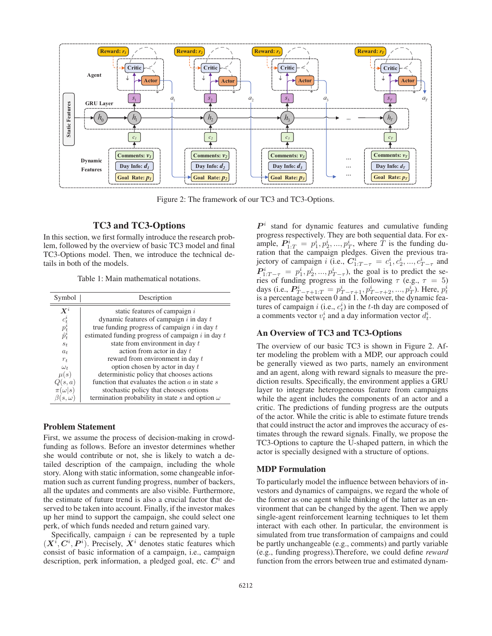

Figure 2: The framework of our TC3 and TC3-Options.

# TC3 and TC3-Options

In this section, we first formally introduce the research problem, followed by the overview of basic TC3 model and final TC3-Options model. Then, we introduce the technical details in both of the models.

Table 1: Main mathematical notations.

| Symbol                            | Description                                                   |
|-----------------------------------|---------------------------------------------------------------|
| $\bm{X}^i$                        | static features of campaign $i$                               |
|                                   | dynamic features of campaign $i$ in day $t$                   |
| $\frac{c_t^i}{p_t^i} \hat{p}_t^i$ | true funding progress of campaign $i$ in day $t$              |
|                                   | estimated funding progress of campaign $i$ in day $t$         |
| $s_t$                             | state from environment in day t                               |
| $a_t$                             | action from actor in day t                                    |
| $r_t$                             | reward from environment in day t                              |
| $\omega_t$                        | option chosen by actor in day t                               |
| $\mu(s)$                          | deterministic policy that chooses actions                     |
| Q(s,a)                            | function that evaluates the action $\alpha$ in state $\alpha$ |
| $(\omega s)$                      | stochastic policy that chooses options                        |
| $s, \omega$                       | termination probability in state s and option $\omega$        |

### Problem Statement

First, we assume the process of decision-making in crowdfunding as follows. Before an investor determines whether she would contribute or not, she is likely to watch a detailed description of the campaign, including the whole story. Along with static information, some changeable information such as current funding progress, number of backers, all the updates and comments are also visible. Furthermore, the estimate of future trend is also a crucial factor that deserved to be taken into account. Finally, if the investor makes up her mind to support the campaign, she could select one perk, of which funds needed and return gained vary.

Specifically, campaign  $i$  can be represented by a tuple  $(X^i, C^i, P^i)$ . Precisely,  $X^i$  denotes static features which consist of basic information of a campaign, i.e., campaign description, perk information, a pledged goal, etc.  $C^i$  and

 $P<sup>i</sup>$  stand for dynamic features and cumulative funding progress respectively. They are both sequential data. For example,  $P_{1:T}^i = p_1^i, p_2^i, ..., p_T^i$ , where  $\dot{T}$  is the funding du-<br>ration that the campaign pledges. Given the previous traration that the campaign pledges. Given the previous trajectory of campaign *i* (i.e.,  $C_{1:T-\tau}^i = c_1^i, c_2^i, ..., c_{T-\tau}^i$  and<br>  $D^i = c_1^i c_2^i$  and  $c_3^i$  the soal is to predict the sequently  $P_{1:T-\tau}^i = p_1^i, p_2^i, \ldots, p_{T-\tau}^i$ , the goal is to predict the se-<br>ries of funding progress in the following  $\tau$  (e.g.  $\tau = 5$ ) ries of funding progress in the following  $\tau$  (e.g.,  $\tau = 5$ ) days (i.e.,  $P_{T-\tau+1:T}^{i} = p_{T-\tau+1}^{i}, p_{T-\tau+2}^{i}, ..., p_{T}^{i}$ ). Here,  $p_{t}^{i}$  is a percentage between 0 and 1. Moreover, the dynamic features of campaign i (i.e.,  $c_t^i$ ) in the t-th day are composed of a comments vector  $v_t^i$  and a day information vector  $d_t^i$ a comments vector  $v_t^i$  and a day information vector  $d_t^i$ .

# An Overview of TC3 and TC3-Options

The overview of our basic TC3 is shown in Figure 2. After modeling the problem with a MDP, our approach could be generally viewed as two parts, namely an environment and an agent, along with reward signals to measure the prediction results. Specifically, the environment applies a GRU layer to integrate heterogeneous feature from campaigns while the agent includes the components of an actor and a critic. The predictions of funding progress are the outputs of the actor. While the critic is able to estimate future trends that could instruct the actor and improves the accuracy of estimates through the reward signals. Finally, we propose the TC3-Options to capture the U-shaped pattern, in which the actor is specially designed with a structure of options.

### MDP Formulation

To particularly model the influence between behaviors of investors and dynamics of campaigns, we regard the whole of the former as one agent while thinking of the latter as an environment that can be changed by the agent. Then we apply single-agent reinforcement learning techniques to let them interact with each other. In particular, the environment is simulated from true transformation of campaigns and could be partly unchangeable (e.g., comments) and partly variable (e.g., funding progress).Therefore, we could define *reward* function from the errors between true and estimated dynam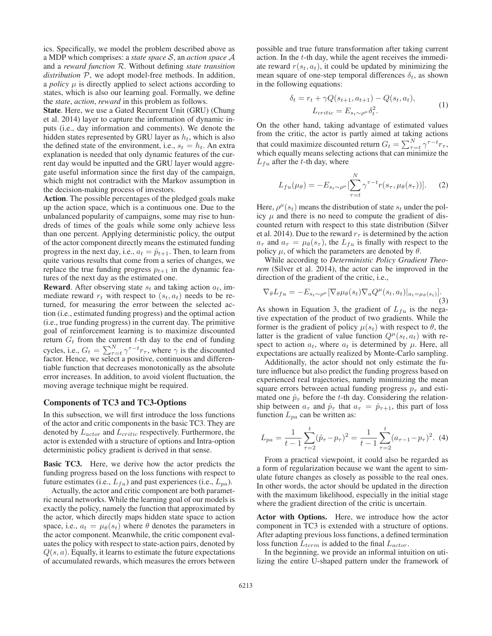ics. Specifically, we model the problem described above as a MDP which comprises: a *state space* S, an *action space* A and a *reward function* R. Without defining *state transition distribution* P, we adopt model-free methods. In addition, a *policy*  $\mu$  is directly applied to select actions according to states, which is also our learning goal. Formally, we define the *state*, *action*, *reward* in this problem as follows.

State. Here, we use a Gated Recurrent Unit (GRU) (Chung et al. 2014) layer to capture the information of dynamic inputs (i.e., day information and comments). We denote the hidden states represented by GRU layer as  $h_t$ , which is also the defined state of the environment, i.e.,  $s_t = h_t$ . An extra explanation is needed that only dynamic features of the current day would be inputted and the GRU layer would aggregate useful information since the first day of the campaign, which might not contradict with the Markov assumption in the decision-making process of investors.

Action. The possible percentages of the pledged goals make up the action space, which is a continuous one. Due to the unbalanced popularity of campaigns, some may rise to hundreds of times of the goals while some only achieve less than one percent. Applying deterministic policy, the output of the actor component directly means the estimated funding progress in the next day, i.e.,  $a_t = \hat{p}_{t+1}$ . Then, to learn from quite various results that come from a series of changes, we replace the true funding progress  $p_{t+1}$  in the dynamic features of the next day as the estimated one.

**Reward.** After observing state  $s_t$  and taking action  $a_t$ , immediate reward  $r_t$  with respect to  $(s_t, a_t)$  needs to be returned, for measuring the error between the selected action (i.e., estimated funding progress) and the optimal action (i.e., true funding progress) in the current day. The primitive goal of reinforcement learning is to maximize discounted return  $G_t$  from the current t-th day to the end of funding cycles, i.e.,  $G_t = \sum_{\tau=t}^{N} \gamma^{\tau-t} r_{\tau}$ , where  $\gamma$  is the discounted factor. Hence, we select a positive, continuous and differentiable function that decreases monotonically as the absolute error increases. In addition, to avoid violent fluctuation, the moving average technique might be required.

### Components of TC3 and TC3-Options

In this subsection, we will first introduce the loss functions of the actor and critic components in the basic TC3. They are denoted by  $L_{actor}$  and  $L_{critic}$  respectively. Furthermore, the actor is extended with a structure of options and Intra-option deterministic policy gradient is derived in that sense.

Basic TC3. Here, we derive how the actor predicts the funding progress based on the loss functions with respect to future estimates (i.e.,  $L_{fu}$ ) and past experiences (i.e.,  $L_{pa}$ ).

Actually, the actor and critic component are both parametric neural networks. While the learning goal of our models is exactly the policy, namely the function that approximated by the actor, which directly maps hidden state space to action space, i.e.,  $a_t = \mu_\theta(s_t)$  where  $\theta$  denotes the parameters in the actor component. Meanwhile, the critic component evaluates the policy with respect to state-action pairs, denoted by  $Q(s, a)$ . Equally, it learns to estimate the future expectations of accumulated rewards, which measures the errors between possible and true future transformation after taking current action. In the t-th day, while the agent receives the immediate reward  $r(s_t, a_t)$ , it could be updated by minimizing the mean square of one-step temporal differences  $\delta_t$ , as shown in the following equations:

$$
\delta_t = r_t + \gamma Q(s_{t+1}, a_{t+1}) - Q(s_t, a_t),
$$
  
\n
$$
L_{critic} = E_{s_t \sim \rho^\mu} \delta_t^2.
$$
 (1)

On the other hand, taking advantage of estimated values from the critic, the actor is partly aimed at taking actions that could maximize discounted return  $G_t = \sum_{\tau=t}^{N} \gamma^{\tau-t} r_{\tau}$ , which equally means selecting actions that can minimize the which equally means selecting actions that can minimize the  $L_{fu}$  after the t-th day, where

$$
L_{fu}(\mu_{\theta}) = -E_{s_t \sim \rho^{\mu}} \left[\sum_{\tau=t}^{N} \gamma^{\tau-t} r(s_{\tau}, \mu_{\theta}(s_{\tau}))\right].
$$
 (2)

Here,  $\rho^{\mu}(s_t)$  means the distribution of state  $s_t$  under the policy  $\mu$  and there is no need to compute the gradient of discounted return with respect to this state distribution (Silver et al. 2014). Due to the reward  $r<sub>\tau</sub>$  is determined by the action  $a_{\tau}$  and  $a_{\tau} = \mu_{\theta}(s_{\tau})$ , the  $L_{fu}$  is finally with respect to the policy u. of which the parameters are denoted by  $\theta$ policy  $\mu$ , of which the parameters are denoted by  $\theta$ .

While according to *Deterministic Policy Gradient Theorem* (Silver et al. 2014), the actor can be improved in the direction of the gradient of the critic, i.e.,

$$
\nabla_{\theta} L_{fu} = -E_{s_t \sim \rho^{\mu}} [\nabla_{\theta} \mu_{\theta}(s_t) \nabla_a Q^{\mu}(s_t, a_t)|_{a_t = \mu_{\theta}(s_t)}].
$$
\n(3)

As shown in Equation 3, the gradient of  $L_{fu}$  is the negative expectation of the product of two gradients. While the former is the gradient of policy  $\mu(s_t)$  with respect to  $\theta$ , the latter is the gradient of value function  $Q^{\mu}(s_t, a_t)$  with respect to action  $a_t$ , where  $a_t$  is determined by  $\mu$ . Here, all expectations are actually realized by Monte-Carlo sampling.

Additionally, the actor should not only estimate the future influence but also predict the funding progress based on experienced real trajectories, namely minimizing the mean square errors between actual funding progress  $p_{\tau}$  and estimated one  $\hat{p}_{\tau}$  before the t-th day. Considering the relationship between  $a_{\tau}$  and  $\hat{p}_{\tau}$  that  $a_{\tau} = \hat{p}_{\tau+1}$ , this part of loss function  $L_{pa}$  can be written as:

$$
L_{pa} = \frac{1}{t-1} \sum_{\tau=2}^{t} (\hat{p}_{\tau} - p_{\tau})^2 = \frac{1}{t-1} \sum_{\tau=2}^{t} (a_{\tau-1} - p_{\tau})^2.
$$
 (4)

From a practical viewpoint, it could also be regarded as a form of regularization because we want the agent to simulate future changes as closely as possible to the real ones. In other words, the actor should be updated in the direction with the maximum likelihood, especially in the initial stage where the gradient direction of the critic is uncertain.

Actor with Options. Here, we introduce how the actor component in TC3 is extended with a structure of options. After adapting previous loss functions, a defined termination loss function  $L_{term}$  is added to the final  $L_{actor}$ .

In the beginning, we provide an informal intuition on utilizing the entire U-shaped pattern under the framework of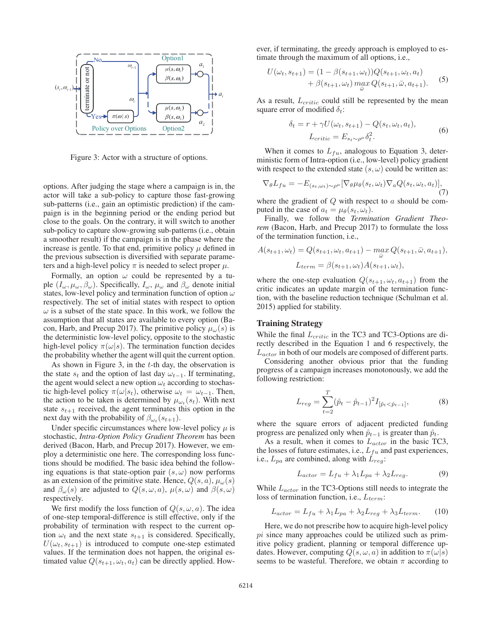

Figure 3: Actor with a structure of options.

options. After judging the stage where a campaign is in, the actor will take a sub-policy to capture those fast-growing sub-patterns (i.e., gain an optimistic prediction) if the campaign is in the beginning period or the ending period but close to the goals. On the contrary, it will switch to another sub-policy to capture slow-growing sub-patterns (i.e., obtain a smoother result) if the campaign is in the phase where the increase is gentle. To that end, primitive policy  $\mu$  defined in the previous subsection is diversified with separate parameters and a high-level policy  $\pi$  is needed to select proper  $\mu$ .

Formally, an option  $\omega$  could be represented by a tuple  $(I_{\omega}, \mu_{\omega}, \beta_{\omega})$ . Specifically,  $I_{\omega}, \mu_{\omega}$  and  $\beta_{\omega}$  denote initial states, low-level policy and termination function of option  $\omega$ respectively. The set of initial states with respect to option  $\omega$  is a subset of the state space. In this work, we follow the assumption that all states are available to every option (Bacon, Harb, and Precup 2017). The primitive policy  $\mu_{\omega}(s)$  is the deterministic low-level policy, opposite to the stochastic high-level policy  $\pi(\omega|s)$ . The termination function decides the probability whether the agent will quit the current option.

As shown in Figure 3, in the  $t$ -th day, the observation is the state  $s_t$  and the option of last day  $\omega_{t-1}$ . If terminating, the agent would select a new option  $\omega_t$  according to stochastic high-level policy  $\pi(\omega|s_t)$ , otherwise  $\omega_t = \omega_{t-1}$ . Then, the action to be taken is determined by  $\mu_{\omega_t}(s_t)$ . With next state  $s_{t+1}$  received, the agent terminates this option in the next day with the probability of  $\beta_{\omega_t}(s_{t+1})$ .

Under specific circumstances where low-level policy  $\mu$  is stochastic, *Intra-Option Policy Gradient Theorem* has been derived (Bacon, Harb, and Precup 2017). However, we employ a deterministic one here. The corresponding loss functions should be modified. The basic idea behind the following equations is that state-option pair  $(s, \omega)$  now performs as an extension of the primitive state. Hence,  $Q(s, a)$ ,  $\mu_{\omega}(s)$ and  $\beta_{\omega}(s)$  are adjusted to  $Q(s, \omega, a)$ ,  $\mu(s, \omega)$  and  $\beta(s, \omega)$ respectively.

We first modify the loss function of  $Q(s, \omega, a)$ . The idea of one-step temporal-difference is still effective, only if the probability of termination with respect to the current option  $\omega_t$  and the next state  $s_{t+1}$  is considered. Specifically,  $U(\omega_t, s_{t+1})$  is introduced to compute one-step estimated values. If the termination does not happen, the original estimated value  $Q(s_{t+1}, \omega_t, a_t)$  can be directly applied. However, if terminating, the greedy approach is employed to estimate through the maximum of all options, i.e.,

$$
U(\omega_t, s_{t+1}) = (1 - \beta(s_{t+1}, \omega_t))Q(s_{t+1}, \omega_t, a_t) + \beta(s_{t+1}, \omega_t) \max_{\tilde{\omega}} Q(s_{t+1}, \bar{\omega}, a_{t+1}).
$$
 (5)

As a result,  $L_{critic}$  could still be represented by the mean square error of modified  $\delta_t$ :

$$
\delta_t = r + \gamma U(\omega_t, s_{t+1}) - Q(s_t, \omega_t, a_t),
$$
  

$$
L_{critic} = E_{s_t \sim \rho^\mu} \delta_t^2.
$$
 (6)

When it comes to  $L_{fu}$ , analogous to Equation 3, deterministic form of Intra-option (i.e., low-level) policy gradient with respect to the extended state  $(s, \omega)$  could be written as:

$$
\nabla_{\theta} L_{fu} = -E_{(s_t, \omega_t) \sim \rho^{\mu}} [\nabla_{\theta} \mu_{\theta}(s_t, \omega_t) \nabla_a Q(s_t, \omega_t, a_t)],
$$
\n(7)

where the gradient of  $Q$  with respect to  $\alpha$  should be computed in the case of  $a_t = \mu_\theta(s_t, \omega_t)$ .

Finally, we follow the *Termination Gradient Theorem* (Bacon, Harb, and Precup 2017) to formulate the loss of the termination function, i.e.,

$$
A(s_{t+1}, \omega_t) = Q(s_{t+1}, \omega_t, a_{t+1}) - \max_{\overline{\omega}} Q(s_{t+1}, \overline{\omega}, a_{t+1}),
$$

$$
L_{term} = \beta(s_{t+1}, \omega_t) A(s_{t+1}, \omega_t),
$$

where the one-step evaluation  $Q(s_{t+1}, \omega_t, a_{t+1})$  from the critic indicates an update margin of the termination function, with the baseline reduction technique (Schulman et al. 2015) applied for stability.

# Training Strategy

While the final  $L_{critic}$  in the TC3 and TC3-Options are directly described in the Equation 1 and 6 respectively, the  $L_{actor}$  in both of our models are composed of different parts.<br>Considering another obvious prior, that the funding

Considering another obvious prior that the funding progress of a campaign increases monotonously, we add the following restriction:

$$
L_{reg} = \sum_{t=2}^{T} (\hat{p}_t - \hat{p}_{t-1})^2 I_{[\hat{p}_t < \hat{p}_{t-1}]},
$$
 (8)

where the square errors of adjacent predicted funding progress are penalized only when  $\hat{p}_{t-1}$  is greater than  $\hat{p}_t$ .

As a result, when it comes to  $L_{actor}$  in the basic TC3, the losses of future estimates, i.e.,  $L_{fu}$  and past experiences, i.e.,  $L_{pa}$  are combined, along with  $L_{reg}$ :

$$
L_{actor} = L_{fu} + \lambda_1 L_{pa} + \lambda_2 L_{reg}.
$$
 (9)

While  $L_{actor}$  in the TC3-Options still needs to integrate the loss of termination function, i.e.,  $L_{term}$ :

$$
L_{actor} = L_{fu} + \lambda_1 L_{pa} + \lambda_2 L_{reg} + \lambda_3 L_{term}.
$$
 (10)

Here, we do not prescribe how to acquire high-level policy  $pi$  since many approaches could be utilized such as primitive policy gradient, planning or temporal difference updates. However, computing  $Q(s, \omega, a)$  in addition to  $\pi(\omega|s)$ seems to be wasteful. Therefore, we obtain  $\pi$  according to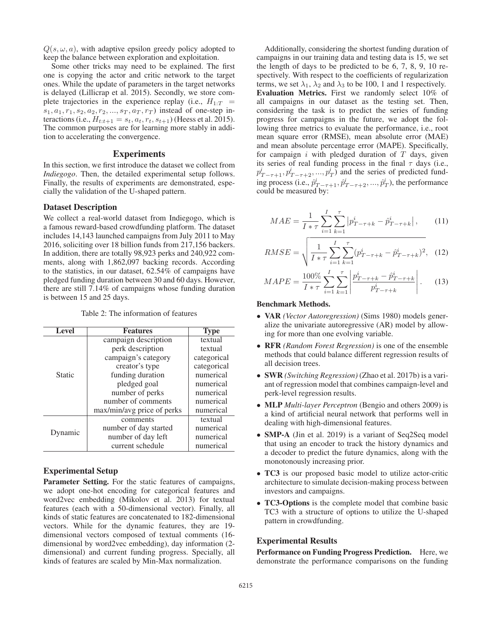$Q(s, \omega, a)$ , with adaptive epsilon greedy policy adopted to keep the balance between exploration and exploitation.

Some other tricks may need to be explained. The first one is copying the actor and critic network to the target ones. While the update of parameters in the target networks is delayed (Lillicrap et al. 2015). Secondly, we store complete trajectories in the experience replay (i.e.,  $H_{1:T}$  =  $s_1, a_1, r_1, s_2, a_2, r_2, ..., s_T, a_T, r_T$  instead of one-step interactions (i.e.,  $H_{t:t+1} = s_t, a_t, r_t, s_{t+1}$ ) (Heess et al. 2015). The common purposes are for learning more stably in addition to accelerating the convergence.

### Experiments

In this section, we first introduce the dataset we collect from *Indiegogo*. Then, the detailed experimental setup follows. Finally, the results of experiments are demonstrated, especially the validation of the U-shaped pattern.

## Dataset Description

We collect a real-world dataset from Indiegogo, which is a famous reward-based crowdfunding platform. The dataset includes 14,143 launched campaigns from July 2011 to May 2016, soliciting over 18 billion funds from 217,156 backers. In addition, there are totally 98,923 perks and 240,922 comments, along with 1,862,097 backing records. According to the statistics, in our dataset, 62.54% of campaigns have pledged funding duration between 30 and 60 days. However, there are still 7.14% of campaigns whose funding duration is between 15 and 25 days.

| Level         | <b>Features</b>            | <b>Type</b> |
|---------------|----------------------------|-------------|
|               | campaign description       | textual     |
| <b>Static</b> | perk description           | textual     |
|               | campaign's category        | categorical |
|               | creator's type             | categorical |
|               | funding duration           | numerical   |
|               | pledged goal               | numerical   |
|               | number of perks            | numerical   |
|               | number of comments         | numerical   |
|               | max/min/avg price of perks | numerical   |
| Dynamic       | comments                   | textual     |
|               | number of day started      | numerical   |
|               | number of day left         | numerical   |
|               | current schedule           | numerical   |

Table 2: The information of features

# Experimental Setup

Parameter Setting. For the static features of campaigns, we adopt one-hot encoding for categorical features and word2vec embedding (Mikolov et al. 2013) for textual features (each with a 50-dimensional vector). Finally, all kinds of static features are concatenated to 182-dimensional vectors. While for the dynamic features, they are 19 dimensional vectors composed of textual comments (16 dimensional by word2vec embedding), day information (2 dimensional) and current funding progress. Specially, all kinds of features are scaled by Min-Max normalization.

Additionally, considering the shortest funding duration of campaigns in our training data and testing data is 15, we set the length of days to be predicted to be 6, 7, 8, 9, 10 respectively. With respect to the coefficients of regularization terms, we set  $\lambda_1$ ,  $\lambda_2$  and  $\lambda_3$  to be 100, 1 and 1 respectively. Evaluation Metrics. First we randomly select 10% of all campaigns in our dataset as the testing set. Then, considering the task is to predict the series of funding progress for campaigns in the future, we adopt the following three metrics to evaluate the performance, i.e., root mean square error (RMSE), mean absolute error (MAE) and mean absolute percentage error (MAPE). Specifically, for campaign  $i$  with pledged duration of  $T$  days, given its series of real funding process in the final  $\tau$  days (i.e.,  $p_{T-\tau+1}^i, p_{T-\tau+2}^i, ..., p_T^i)$  and the series of predicted fund-<br>ing process  $(i, \hat{z}_i^i, \hat{z}_i^i, \hat{z}_i^i)$ , the performance ing process (i.e.,  $\hat{p}_{T-\tau+1}^i, \hat{p}_{T-\tau+2}^i, ..., \hat{p}_T^i$ ), the performance<br>could be measured by could be measured by:

$$
MAE = \frac{1}{I * \tau} \sum_{i=1}^{I} \sum_{k=1}^{\tau} \left| p_{T-\tau+k}^{i} - \hat{p}_{T-\tau+k}^{i} \right|, \tag{11}
$$

$$
RMSE = \sqrt{\frac{1}{I * \tau} \sum_{i=1}^{I} \sum_{k=1}^{\tau} (p_{T-\tau+k}^{i} - \hat{p}_{T-\tau+k}^{i})^2}, \quad (12)
$$

$$
MAPE = \frac{100\%}{I * \tau} \sum_{i=1}^{I} \sum_{k=1}^{\tau} \left| \frac{p_{T-\tau+k}^{i} - \hat{p}_{T-\tau+k}^{i}}{p_{T-\tau+k}^{i}} \right|.
$$
 (13)

# Benchmark Methods.

- VAR *(Vector Autoregression)* (Sims 1980) models generalize the univariate autoregressive (AR) model by allowing for more than one evolving variable.
- RFR *(Random Forest Regression)* is one of the ensemble methods that could balance different regression results of all decision trees.
- SWR *(Switching Regression)* (Zhao et al. 2017b) is a variant of regression model that combines campaign-level and perk-level regression results.
- MLP *Multi-layer Perceptron* (Bengio and others 2009) is a kind of artificial neural network that performs well in dealing with high-dimensional features.
- **SMP-A** (Jin et al. 2019) is a variant of Seq2Seq model that using an encoder to track the history dynamics and a decoder to predict the future dynamics, along with the monotonously increasing prior.
- TC3 is our proposed basic model to utilize actor-critic architecture to simulate decision-making process between investors and campaigns.
- TC3-Options is the complete model that combine basic TC3 with a structure of options to utilize the U-shaped pattern in crowdfunding.

### Experimental Results

Performance on Funding Progress Prediction. Here, we demonstrate the performance comparisons on the funding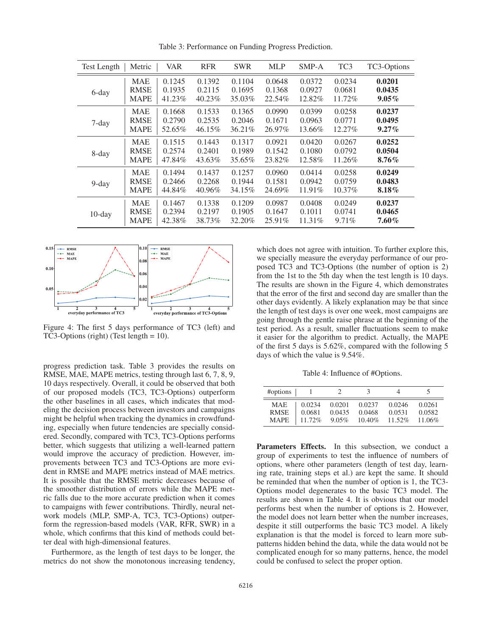| <b>Test Length</b> | Metric      | <b>VAR</b> | <b>RFR</b> | <b>SWR</b> | <b>MLP</b> | $SMP-A$ | TC <sub>3</sub> | TC3-Options |
|--------------------|-------------|------------|------------|------------|------------|---------|-----------------|-------------|
| 6-day              | <b>MAE</b>  | 0.1245     | 0.1392     | 0.1104     | 0.0648     | 0.0372  | 0.0234          | 0.0201      |
|                    | <b>RMSE</b> | 0.1935     | 0.2115     | 0.1695     | 0.1368     | 0.0927  | 0.0681          | 0.0435      |
|                    | <b>MAPE</b> | 41.23%     | 40.23%     | 35.03%     | 22.54%     | 12.82%  | 11.72%          | $9.05\%$    |
| 7-day              | <b>MAE</b>  | 0.1668     | 0.1533     | 0.1365     | 0.0990     | 0.0399  | 0.0258          | 0.0237      |
|                    | <b>RMSE</b> | 0.2790     | 0.2535     | 0.2046     | 0.1671     | 0.0963  | 0.0771          | 0.0495      |
|                    | <b>MAPE</b> | 52.65%     | 46.15%     | 36.21%     | 26.97%     | 13.66%  | 12.27%          | $9.27\%$    |
| 8-day              | <b>MAE</b>  | 0.1515     | 0.1443     | 0.1317     | 0.0921     | 0.0420  | 0.0267          | 0.0252      |
|                    | <b>RMSE</b> | 0.2574     | 0.2401     | 0.1989     | 0.1542     | 0.1080  | 0.0792          | 0.0504      |
|                    | <b>MAPE</b> | 47.84%     | 43.63%     | 35.65%     | 23.82%     | 12.58%  | 11.26%          | $8.76\%$    |
| $9$ -day           | <b>MAE</b>  | 0.1494     | 0.1437     | 0.1257     | 0.0960     | 0.0414  | 0.0258          | 0.0249      |
|                    | <b>RMSE</b> | 0.2466     | 0.2268     | 0.1944     | 0.1581     | 0.0942  | 0.0759          | 0.0483      |
|                    | <b>MAPE</b> | 44.84%     | 40.96%     | 34.15%     | 24.69%     | 11.91%  | $10.37\%$       | 8.18%       |
| $10$ -day          | <b>MAE</b>  | 0.1467     | 0.1338     | 0.1209     | 0.0987     | 0.0408  | 0.0249          | 0.0237      |
|                    | <b>RMSE</b> | 0.2394     | 0.2197     | 0.1905     | 0.1647     | 0.1011  | 0.0741          | 0.0465      |
|                    | <b>MAPE</b> | 42.38%     | 38.73%     | 32.20%     | 25.91%     | 11.31\% | 9.71%           | $7.60\%$    |

Table 3: Performance on Funding Progress Prediction.



Figure 4: The first 5 days performance of TC3 (left) and TC3-Options (right) (Test length = 10).

progress prediction task. Table 3 provides the results on RMSE, MAE, MAPE metrics, testing through last 6, 7, 8, 9, 10 days respectively. Overall, it could be observed that both of our proposed models (TC3, TC3-Options) outperform the other baselines in all cases, which indicates that modeling the decision process between investors and campaigns might be helpful when tracking the dynamics in crowdfunding, especially when future tendencies are specially considered. Secondly, compared with TC3, TC3-Options performs better, which suggests that utilizing a well-learned pattern would improve the accuracy of prediction. However, improvements between TC3 and TC3-Options are more evident in RMSE and MAPE metrics instead of MAE metrics. It is possible that the RMSE metric decreases because of the smoother distribution of errors while the MAPE metric falls due to the more accurate prediction when it comes to campaigns with fewer contributions. Thirdly, neural network models (MLP, SMP-A, TC3, TC3-Options) outperform the regression-based models (VAR, RFR, SWR) in a whole, which confirms that this kind of methods could better deal with high-dimensional features.

Furthermore, as the length of test days to be longer, the metrics do not show the monotonous increasing tendency,

which does not agree with intuition. To further explore this, we specially measure the everyday performance of our proposed TC3 and TC3-Options (the number of option is 2) from the 1st to the 5th day when the test length is 10 days. The results are shown in the Figure 4, which demonstrates that the error of the first and second day are smaller than the other days evidently. A likely explanation may be that since the length of test days is over one week, most campaigns are going through the gentle raise phrase at the beginning of the test period. As a result, smaller fluctuations seem to make it easier for the algorithm to predict. Actually, the MAPE of the first 5 days is 5.62%, compared with the following 5 days of which the value is 9.54%.

Table 4: Influence of #Options.

| #options    |        |        | 3      |           |        |
|-------------|--------|--------|--------|-----------|--------|
| <b>MAE</b>  | 0.0234 | 0.0201 | 0.0237 | 0.0246    | 0.0261 |
| <b>RMSE</b> | 0.0681 | 0.0435 | 0.0468 | 0.0531    | 0.0582 |
| <b>MAPE</b> | 11.72% | 9.05%  | 10.40% | $11.52\%$ | 11.06% |

Parameters Effects. In this subsection, we conduct a group of experiments to test the influence of numbers of options, where other parameters (length of test day, learning rate, training steps et al.) are kept the same. It should be reminded that when the number of option is 1, the TC3- Options model degenerates to the basic TC3 model. The results are shown in Table 4. It is obvious that our model performs best when the number of options is 2. However, the model does not learn better when the number increases, despite it still outperforms the basic TC3 model. A likely explanation is that the model is forced to learn more subpatterns hidden behind the data, while the data would not be complicated enough for so many patterns, hence, the model could be confused to select the proper option.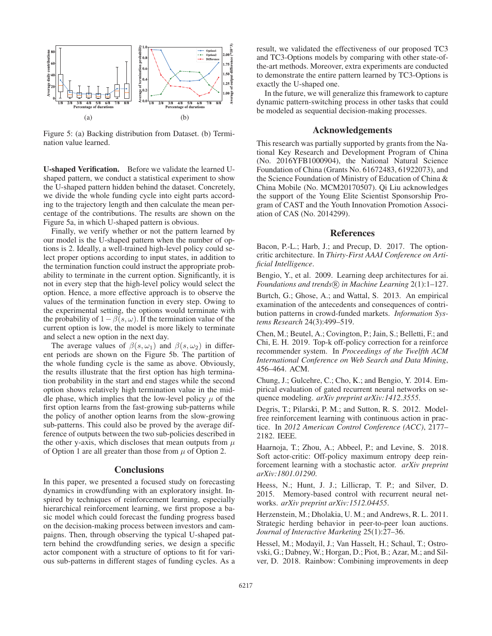

Figure 5: (a) Backing distribution from Dataset. (b) Termination value learned.

U-shaped Verification. Before we validate the learned Ushaped pattern, we conduct a statistical experiment to show the U-shaped pattern hidden behind the dataset. Concretely, we divide the whole funding cycle into eight parts according to the trajectory length and then calculate the mean percentage of the contributions. The results are shown on the Figure 5a, in which U-shaped pattern is obvious.

Finally, we verify whether or not the pattern learned by our model is the U-shaped pattern when the number of options is 2. Ideally, a well-trained high-level policy could select proper options according to input states, in addition to the termination function could instruct the appropriate probability to terminate in the current option. Significantly, it is not in every step that the high-level policy would select the option. Hence, a more effective approach is to observe the values of the termination function in every step. Owing to the experimental setting, the options would terminate with the probability of  $1-\beta(s,\omega)$ . If the termination value of the current option is low, the model is more likely to terminate and select a new option in the next day.

The average values of  $\beta(s,\omega_1)$  and  $\beta(s,\omega_2)$  in different periods are shown on the Figure 5b. The partition of the whole funding cycle is the same as above. Obviously, the results illustrate that the first option has high termination probability in the start and end stages while the second option shows relatively high termination value in the middle phase, which implies that the low-level policy  $\mu$  of the first option learns from the fast-growing sub-patterns while the policy of another option learns from the slow-growing sub-patterns. This could also be proved by the average difference of outputs between the two sub-policies described in the other y-axis, which discloses that mean outputs from  $\mu$ of Option 1 are all greater than those from  $\mu$  of Option 2.

### **Conclusions**

In this paper, we presented a focused study on forecasting dynamics in crowdfunding with an exploratory insight. Inspired by techniques of reinforcement learning, especially hierarchical reinforcement learning, we first propose a basic model which could forecast the funding progress based on the decision-making process between investors and campaigns. Then, through observing the typical U-shaped pattern behind the crowdfunding series, we design a specific actor component with a structure of options to fit for various sub-patterns in different stages of funding cycles. As a

result, we validated the effectiveness of our proposed TC3 and TC3-Options models by comparing with other state-ofthe-art methods. Moreover, extra experiments are conducted to demonstrate the entire pattern learned by TC3-Options is exactly the U-shaped one.

In the future, we will generalize this framework to capture dynamic pattern-switching process in other tasks that could be modeled as sequential decision-making processes.

# Acknowledgements

This research was partially supported by grants from the National Key Research and Development Program of China (No. 2016YFB1000904), the National Natural Science Foundation of China (Grants No. 61672483, 61922073), and the Science Foundation of Ministry of Education of China & China Mobile (No. MCM20170507). Qi Liu acknowledges the support of the Young Elite Scientist Sponsorship Program of CAST and the Youth Innovation Promotion Association of CAS (No. 2014299).

### References

Bacon, P.-L.; Harb, J.; and Precup, D. 2017. The optioncritic architecture. In *Thirty-First AAAI Conference on Artificial Intelligence*.

Bengio, Y., et al. 2009. Learning deep architectures for ai. *Foundations and trends* $(\overline{R})$  *in Machine Learning* 2(1):1–127.

Burtch, G.; Ghose, A.; and Wattal, S. 2013. An empirical examination of the antecedents and consequences of contribution patterns in crowd-funded markets. *Information Systems Research* 24(3):499–519.

Chen, M.; Beutel, A.; Covington, P.; Jain, S.; Belletti, F.; and Chi, E. H. 2019. Top-k off-policy correction for a reinforce recommender system. In *Proceedings of the Twelfth ACM International Conference on Web Search and Data Mining*, 456–464. ACM.

Chung, J.; Gulcehre, C.; Cho, K.; and Bengio, Y. 2014. Empirical evaluation of gated recurrent neural networks on sequence modeling. *arXiv preprint arXiv:1412.3555*.

Degris, T.; Pilarski, P. M.; and Sutton, R. S. 2012. Modelfree reinforcement learning with continuous action in practice. In *2012 American Control Conference (ACC)*, 2177– 2182. IEEE.

Haarnoja, T.; Zhou, A.; Abbeel, P.; and Levine, S. 2018. Soft actor-critic: Off-policy maximum entropy deep reinforcement learning with a stochastic actor. *arXiv preprint arXiv:1801.01290*.

Heess, N.; Hunt, J. J.; Lillicrap, T. P.; and Silver, D. 2015. Memory-based control with recurrent neural networks. *arXiv preprint arXiv:1512.04455*.

Herzenstein, M.; Dholakia, U. M.; and Andrews, R. L. 2011. Strategic herding behavior in peer-to-peer loan auctions. *Journal of Interactive Marketing* 25(1):27–36.

Hessel, M.; Modayil, J.; Van Hasselt, H.; Schaul, T.; Ostrovski, G.; Dabney, W.; Horgan, D.; Piot, B.; Azar, M.; and Silver, D. 2018. Rainbow: Combining improvements in deep